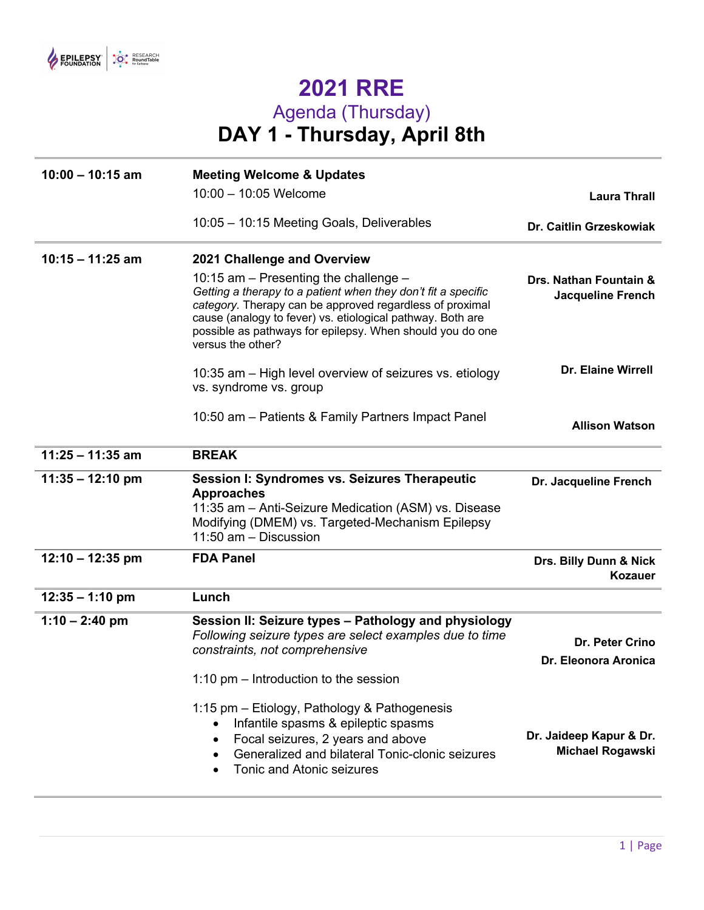

## **2021 RRE** Agenda (Thursday) **DAY 1 - Thursday, April 8th**

| $10:00 - 10:15$ am | <b>Meeting Welcome &amp; Updates</b>                                                                                                                                                                                                                                                                                   |                                                    |  |
|--------------------|------------------------------------------------------------------------------------------------------------------------------------------------------------------------------------------------------------------------------------------------------------------------------------------------------------------------|----------------------------------------------------|--|
|                    | 10:00 - 10:05 Welcome                                                                                                                                                                                                                                                                                                  | <b>Laura Thrall</b>                                |  |
|                    | 10:05 - 10:15 Meeting Goals, Deliverables                                                                                                                                                                                                                                                                              | Dr. Caitlin Grzeskowiak                            |  |
| $10:15 - 11:25$ am | 2021 Challenge and Overview                                                                                                                                                                                                                                                                                            |                                                    |  |
|                    | 10:15 am $-$ Presenting the challenge $-$<br>Getting a therapy to a patient when they don't fit a specific<br>category. Therapy can be approved regardless of proximal<br>cause (analogy to fever) vs. etiological pathway. Both are<br>possible as pathways for epilepsy. When should you do one<br>versus the other? | Drs. Nathan Fountain &<br><b>Jacqueline French</b> |  |
|                    | 10:35 am – High level overview of seizures vs. etiology<br>vs. syndrome vs. group                                                                                                                                                                                                                                      | <b>Dr. Elaine Wirrell</b>                          |  |
|                    | 10:50 am - Patients & Family Partners Impact Panel                                                                                                                                                                                                                                                                     | <b>Allison Watson</b>                              |  |
| $11:25 - 11:35$ am | <b>BREAK</b>                                                                                                                                                                                                                                                                                                           |                                                    |  |
| $11:35 - 12:10$ pm | <b>Session I: Syndromes vs. Seizures Therapeutic</b><br><b>Approaches</b><br>11:35 am - Anti-Seizure Medication (ASM) vs. Disease<br>Modifying (DMEM) vs. Targeted-Mechanism Epilepsy<br>11:50 am - Discussion                                                                                                         | Dr. Jacqueline French                              |  |
| $12:10 - 12:35$ pm | <b>FDA Panel</b>                                                                                                                                                                                                                                                                                                       | Drs. Billy Dunn & Nick<br><b>Kozauer</b>           |  |
| $12:35 - 1:10$ pm  | Lunch                                                                                                                                                                                                                                                                                                                  |                                                    |  |
| $1:10 - 2:40$ pm   | Session II: Seizure types – Pathology and physiology<br>Following seizure types are select examples due to time<br>constraints, not comprehensive<br>1:10 $pm -$ Introduction to the session                                                                                                                           | Dr. Peter Crino<br>Dr. Eleonora Aronica            |  |
|                    | 1:15 pm - Etiology, Pathology & Pathogenesis<br>Infantile spasms & epileptic spasms<br>$\bullet$<br>Focal seizures, 2 years and above<br>$\bullet$                                                                                                                                                                     | Dr. Jaideep Kapur & Dr.                            |  |
|                    | Generalized and bilateral Tonic-clonic seizures<br>Tonic and Atonic seizures                                                                                                                                                                                                                                           | <b>Michael Rogawski</b>                            |  |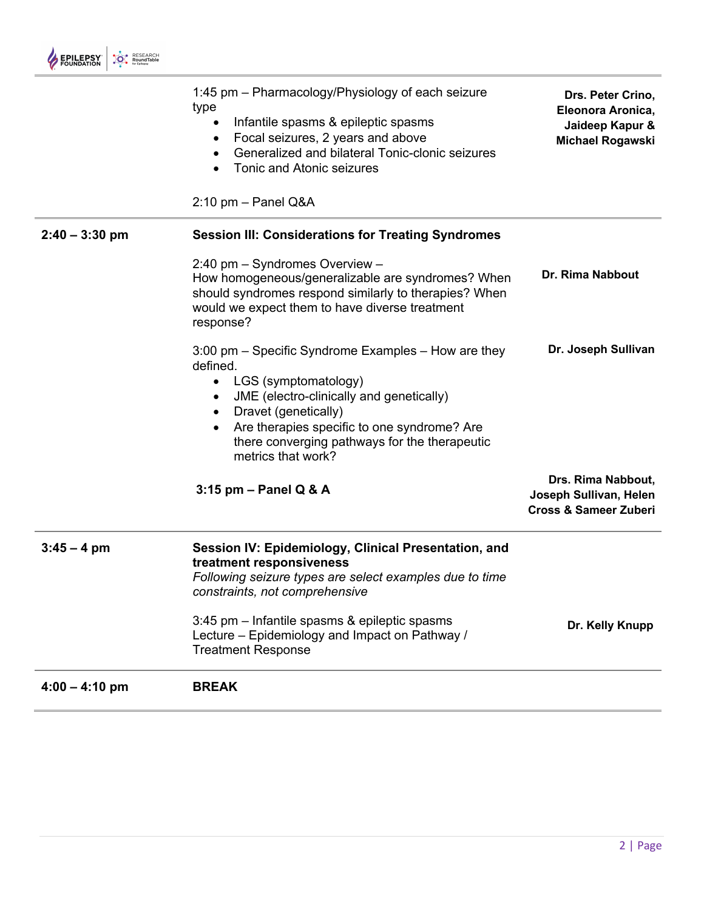|                  | 1:45 pm - Pharmacology/Physiology of each seizure<br>type<br>Infantile spasms & epileptic spasms<br>Focal seizures, 2 years and above<br>Generalized and bilateral Tonic-clonic seizures<br><b>Tonic and Atonic seizures</b><br>$2:10$ pm $-$ Panel Q&A                                        | Drs. Peter Crino,<br>Eleonora Aronica,<br>Jaideep Kapur &<br>Michael Rogawski    |
|------------------|------------------------------------------------------------------------------------------------------------------------------------------------------------------------------------------------------------------------------------------------------------------------------------------------|----------------------------------------------------------------------------------|
| $2:40 - 3:30$ pm | <b>Session III: Considerations for Treating Syndromes</b>                                                                                                                                                                                                                                      |                                                                                  |
|                  | 2:40 pm - Syndromes Overview -<br>How homogeneous/generalizable are syndromes? When<br>should syndromes respond similarly to therapies? When<br>would we expect them to have diverse treatment<br>response?                                                                                    | <b>Dr. Rima Nabbout</b>                                                          |
|                  | 3:00 pm – Specific Syndrome Examples – How are they<br>defined.<br>LGS (symptomatology)<br>$\bullet$<br>JME (electro-clinically and genetically)<br>Dravet (genetically)<br>Are therapies specific to one syndrome? Are<br>there converging pathways for the therapeutic<br>metrics that work? | Dr. Joseph Sullivan                                                              |
|                  | $3:15$ pm - Panel Q & A                                                                                                                                                                                                                                                                        | Drs. Rima Nabbout,<br>Joseph Sullivan, Helen<br><b>Cross &amp; Sameer Zuberi</b> |
| $3:45 - 4$ pm    | Session IV: Epidemiology, Clinical Presentation, and<br>treatment responsiveness<br>Following seizure types are select examples due to time<br>constraints, not comprehensive                                                                                                                  |                                                                                  |
|                  | 3:45 pm – Infantile spasms & epileptic spasms<br>Lecture – Epidemiology and Impact on Pathway /<br><b>Treatment Response</b>                                                                                                                                                                   | Dr. Kelly Knupp                                                                  |
| $4:00 - 4:10$ pm | <b>BREAK</b>                                                                                                                                                                                                                                                                                   |                                                                                  |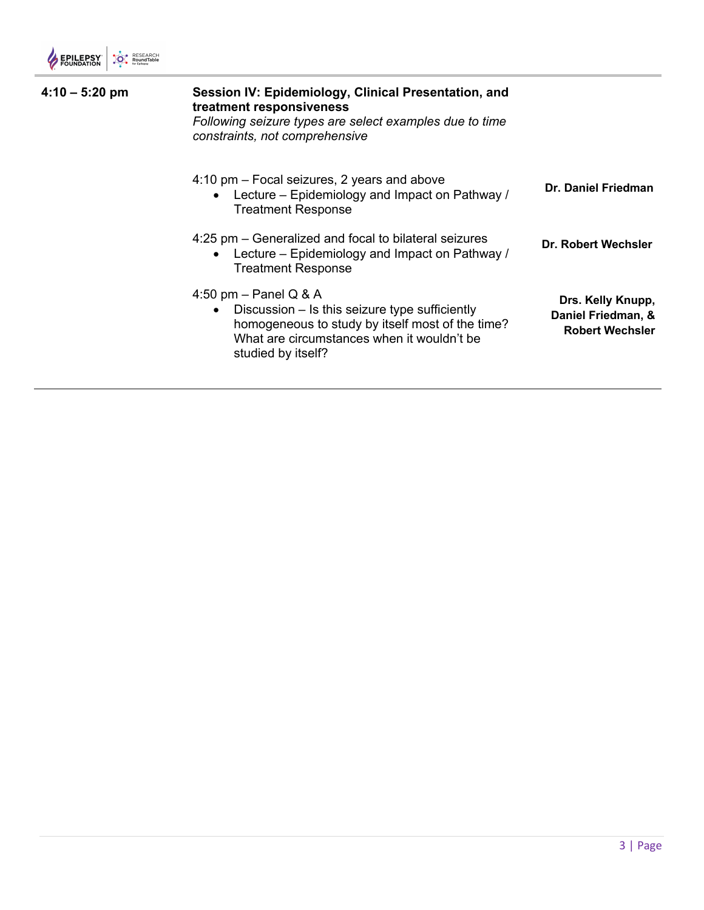| $4:10 - 5:20$ pm | Session IV: Epidemiology, Clinical Presentation, and<br>treatment responsiveness<br>Following seizure types are select examples due to time<br>constraints, not comprehensive                                  |                                                                   |
|------------------|----------------------------------------------------------------------------------------------------------------------------------------------------------------------------------------------------------------|-------------------------------------------------------------------|
|                  | 4:10 pm – Focal seizures, 2 years and above<br>Lecture – Epidemiology and Impact on Pathway /<br><b>Treatment Response</b>                                                                                     | Dr. Daniel Friedman                                               |
|                  | 4:25 pm – Generalized and focal to bilateral seizures<br>Lecture – Epidemiology and Impact on Pathway /<br><b>Treatment Response</b>                                                                           | Dr. Robert Wechsler                                               |
|                  | 4:50 pm $-$ Panel Q & A<br>Discussion – Is this seizure type sufficiently<br>$\bullet$<br>homogeneous to study by itself most of the time?<br>What are circumstances when it wouldn't be<br>studied by itself? | Drs. Kelly Knupp,<br>Daniel Friedman, &<br><b>Robert Wechsler</b> |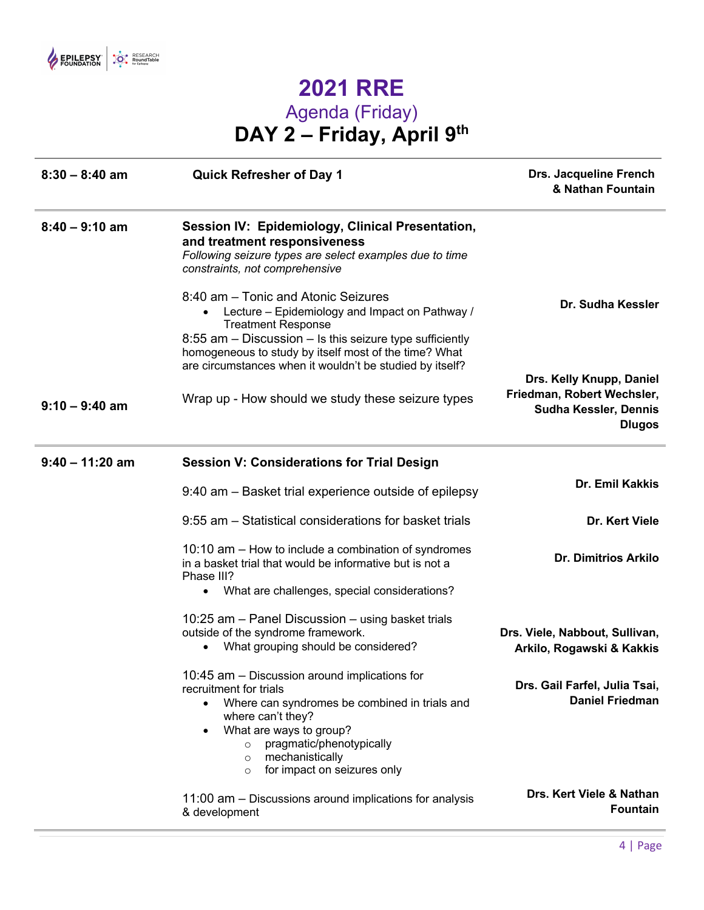

## **2021 RRE** Agenda (Friday) **DAY 2 – Friday, April 9th**

| $8:30 - 8:40$ am  | <b>Quick Refresher of Day 1</b>                                                                                                                                                                                                                                                                      | <b>Drs. Jacqueline French</b><br>& Nathan Fountain                                                      |
|-------------------|------------------------------------------------------------------------------------------------------------------------------------------------------------------------------------------------------------------------------------------------------------------------------------------------------|---------------------------------------------------------------------------------------------------------|
| $8:40 - 9:10$ am  | Session IV: Epidemiology, Clinical Presentation,<br>and treatment responsiveness<br>Following seizure types are select examples due to time<br>constraints, not comprehensive                                                                                                                        |                                                                                                         |
|                   | 8:40 am - Tonic and Atonic Seizures<br>Lecture - Epidemiology and Impact on Pathway /<br>$\bullet$<br><b>Treatment Response</b><br>8:55 am - Discussion - Is this seizure type sufficiently<br>homogeneous to study by itself most of the time? What                                                 | Dr. Sudha Kessler                                                                                       |
|                   | are circumstances when it wouldn't be studied by itself?                                                                                                                                                                                                                                             |                                                                                                         |
| $9:10 - 9:40$ am  | Wrap up - How should we study these seizure types                                                                                                                                                                                                                                                    | Drs. Kelly Knupp, Daniel<br>Friedman, Robert Wechsler,<br><b>Sudha Kessler, Dennis</b><br><b>Dlugos</b> |
| $9:40 - 11:20$ am | <b>Session V: Considerations for Trial Design</b>                                                                                                                                                                                                                                                    |                                                                                                         |
|                   | 9:40 am – Basket trial experience outside of epilepsy                                                                                                                                                                                                                                                | Dr. Emil Kakkis                                                                                         |
|                   | 9:55 am - Statistical considerations for basket trials                                                                                                                                                                                                                                               | Dr. Kert Viele                                                                                          |
|                   | 10:10 am - How to include a combination of syndromes<br>in a basket trial that would be informative but is not a<br>Phase III?                                                                                                                                                                       | <b>Dr. Dimitrios Arkilo</b>                                                                             |
|                   | What are challenges, special considerations?<br>$\bullet$                                                                                                                                                                                                                                            |                                                                                                         |
|                   | 10:25 am - Panel Discussion - using basket trials<br>outside of the syndrome framework.<br>What grouping should be considered?<br>$\bullet$                                                                                                                                                          | Drs. Viele, Nabbout, Sullivan,<br>Arkilo, Rogawski & Kakkis                                             |
|                   | 10:45 am – Discussion around implications for<br>recruitment for trials<br>Where can syndromes be combined in trials and<br>where can't they?<br>What are ways to group?<br>$\bullet$<br>pragmatic/phenotypically<br>$\circ$<br>mechanistically<br>$\circ$<br>for impact on seizures only<br>$\circ$ | Drs. Gail Farfel, Julia Tsai,<br><b>Daniel Friedman</b>                                                 |
|                   | 11:00 am – Discussions around implications for analysis<br>& development                                                                                                                                                                                                                             | Drs. Kert Viele & Nathan<br><b>Fountain</b>                                                             |